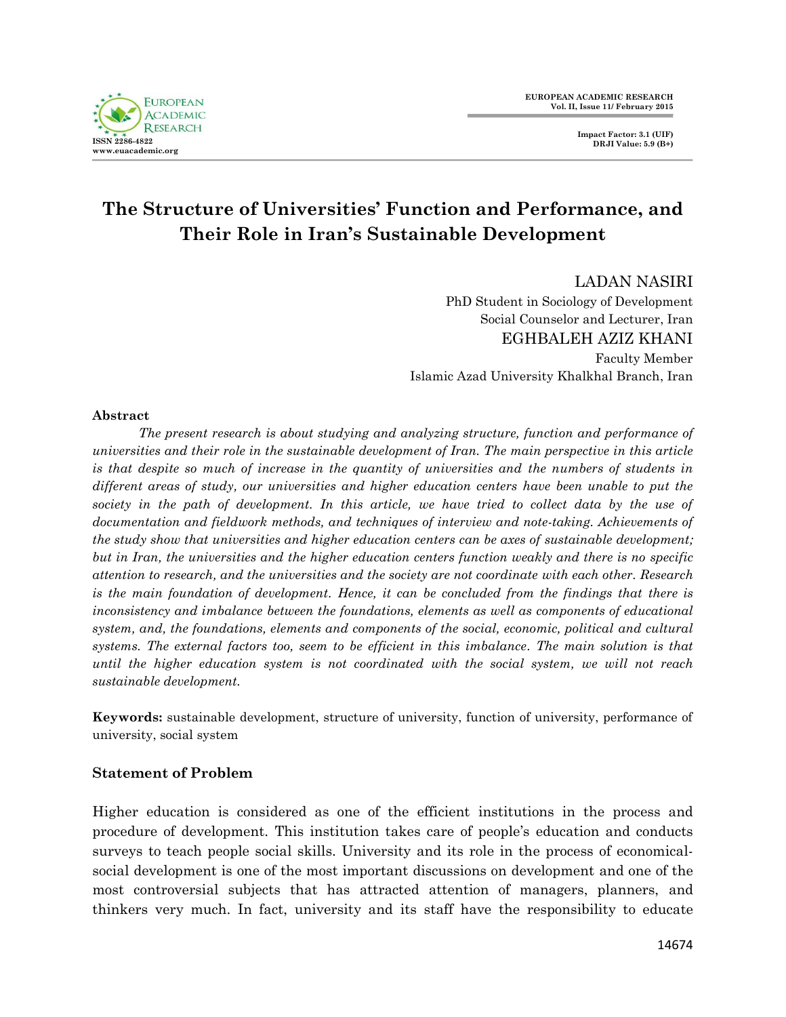# **The Structure of Universities' Function and Performance, and Their Role in Iran's Sustainable Development**

#### LADAN NASIRI

PhD Student in Sociology of Development Social Counselor and Lecturer, Iran EGHBALEH AZIZ KHANI Faculty Member Islamic Azad University Khalkhal Branch, Iran

#### **Abstract**

*The present research is about studying and analyzing structure, function and performance of universities and their role in the sustainable development of Iran. The main perspective in this article is that despite so much of increase in the quantity of universities and the numbers of students in different areas of study, our universities and higher education centers have been unable to put the*  society in the path of development. In this article, we have tried to collect data by the use of *documentation and fieldwork methods, and techniques of interview and note-taking. Achievements of the study show that universities and higher education centers can be axes of sustainable development; but in Iran, the universities and the higher education centers function weakly and there is no specific attention to research, and the universities and the society are not coordinate with each other. Research is the main foundation of development. Hence, it can be concluded from the findings that there is inconsistency and imbalance between the foundations, elements as well as components of educational system, and, the foundations, elements and components of the social, economic, political and cultural systems. The external factors too, seem to be efficient in this imbalance. The main solution is that until the higher education system is not coordinated with the social system, we will not reach sustainable development.*

**Keywords:** sustainable development, structure of university, function of university, performance of university, social system

## **Statement of Problem**

Higher education is considered as one of the efficient institutions in the process and procedure of development. This institution takes care of people's education and conducts surveys to teach people social skills. University and its role in the process of economicalsocial development is one of the most important discussions on development and one of the most controversial subjects that has attracted attention of managers, planners, and thinkers very much. In fact, university and its staff have the responsibility to educate

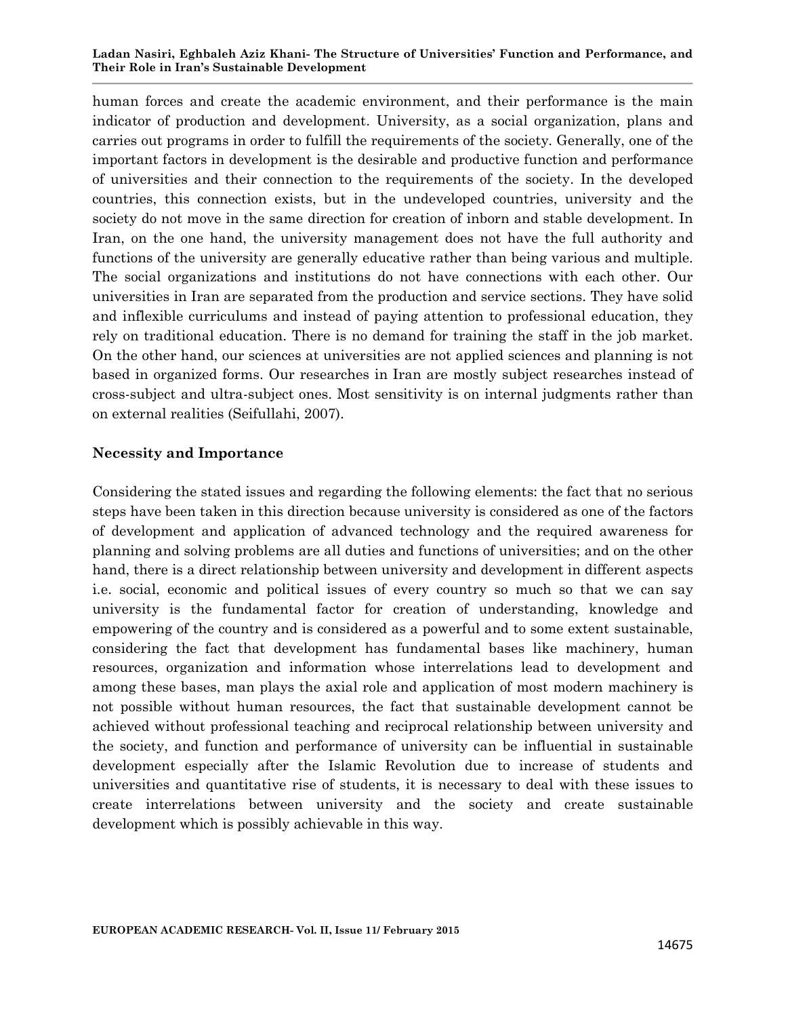#### **Ladan Nasiri, Eghbaleh Aziz Khani- The Structure of Universities' Function and Performance, and Their Role in Iran's Sustainable Development**

human forces and create the academic environment, and their performance is the main indicator of production and development. University, as a social organization, plans and carries out programs in order to fulfill the requirements of the society. Generally, one of the important factors in development is the desirable and productive function and performance of universities and their connection to the requirements of the society. In the developed countries, this connection exists, but in the undeveloped countries, university and the society do not move in the same direction for creation of inborn and stable development. In Iran, on the one hand, the university management does not have the full authority and functions of the university are generally educative rather than being various and multiple. The social organizations and institutions do not have connections with each other. Our universities in Iran are separated from the production and service sections. They have solid and inflexible curriculums and instead of paying attention to professional education, they rely on traditional education. There is no demand for training the staff in the job market. On the other hand, our sciences at universities are not applied sciences and planning is not based in organized forms. Our researches in Iran are mostly subject researches instead of cross-subject and ultra-subject ones. Most sensitivity is on internal judgments rather than on external realities (Seifullahi, 2007).

#### **Necessity and Importance**

Considering the stated issues and regarding the following elements: the fact that no serious steps have been taken in this direction because university is considered as one of the factors of development and application of advanced technology and the required awareness for planning and solving problems are all duties and functions of universities; and on the other hand, there is a direct relationship between university and development in different aspects i.e. social, economic and political issues of every country so much so that we can say university is the fundamental factor for creation of understanding, knowledge and empowering of the country and is considered as a powerful and to some extent sustainable, considering the fact that development has fundamental bases like machinery, human resources, organization and information whose interrelations lead to development and among these bases, man plays the axial role and application of most modern machinery is not possible without human resources, the fact that sustainable development cannot be achieved without professional teaching and reciprocal relationship between university and the society, and function and performance of university can be influential in sustainable development especially after the Islamic Revolution due to increase of students and universities and quantitative rise of students, it is necessary to deal with these issues to create interrelations between university and the society and create sustainable development which is possibly achievable in this way.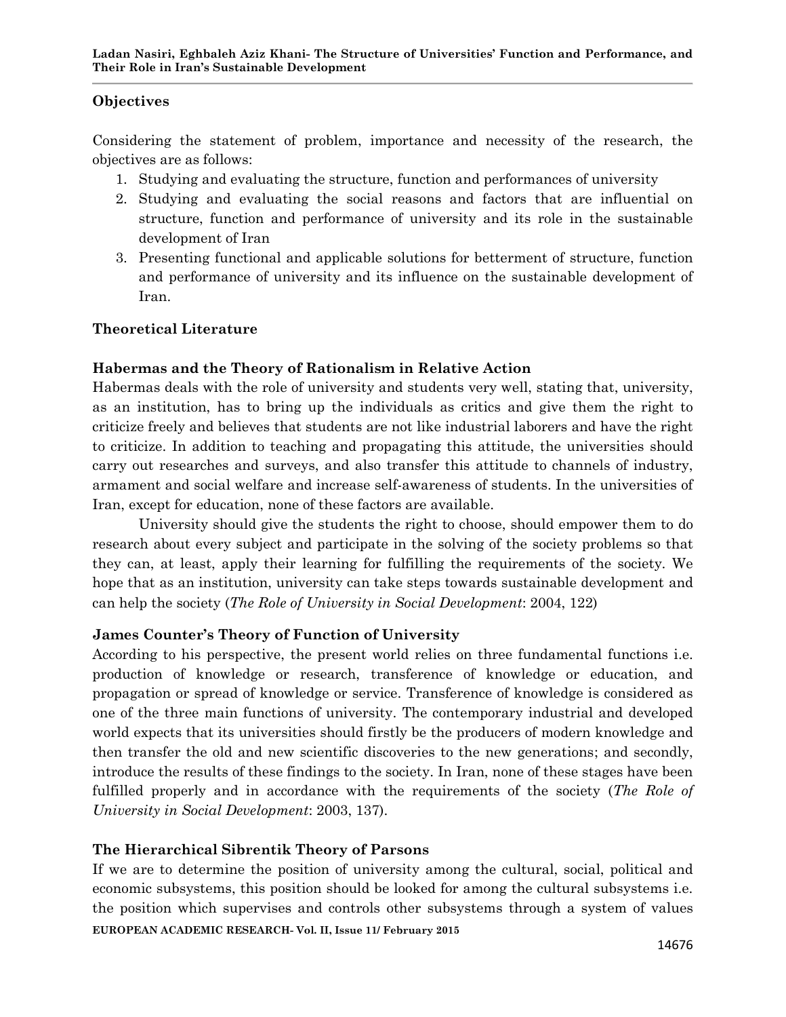## **Objectives**

Considering the statement of problem, importance and necessity of the research, the objectives are as follows:

- 1. Studying and evaluating the structure, function and performances of university
- 2. Studying and evaluating the social reasons and factors that are influential on structure, function and performance of university and its role in the sustainable development of Iran
- 3. Presenting functional and applicable solutions for betterment of structure, function and performance of university and its influence on the sustainable development of Iran.

## **Theoretical Literature**

## **Habermas and the Theory of Rationalism in Relative Action**

Habermas deals with the role of university and students very well, stating that, university, as an institution, has to bring up the individuals as critics and give them the right to criticize freely and believes that students are not like industrial laborers and have the right to criticize. In addition to teaching and propagating this attitude, the universities should carry out researches and surveys, and also transfer this attitude to channels of industry, armament and social welfare and increase self-awareness of students. In the universities of Iran, except for education, none of these factors are available.

University should give the students the right to choose, should empower them to do research about every subject and participate in the solving of the society problems so that they can, at least, apply their learning for fulfilling the requirements of the society. We hope that as an institution, university can take steps towards sustainable development and can help the society (*The Role of University in Social Development*: 2004, 122)

## **James Counter's Theory of Function of University**

According to his perspective, the present world relies on three fundamental functions i.e. production of knowledge or research, transference of knowledge or education, and propagation or spread of knowledge or service. Transference of knowledge is considered as one of the three main functions of university. The contemporary industrial and developed world expects that its universities should firstly be the producers of modern knowledge and then transfer the old and new scientific discoveries to the new generations; and secondly, introduce the results of these findings to the society. In Iran, none of these stages have been fulfilled properly and in accordance with the requirements of the society (*The Role of University in Social Development*: 2003, 137).

## **The Hierarchical Sibrentik Theory of Parsons**

**EUROPEAN ACADEMIC RESEARCH- Vol. II, Issue 11/ February 2015** If we are to determine the position of university among the cultural, social, political and economic subsystems, this position should be looked for among the cultural subsystems i.e. the position which supervises and controls other subsystems through a system of values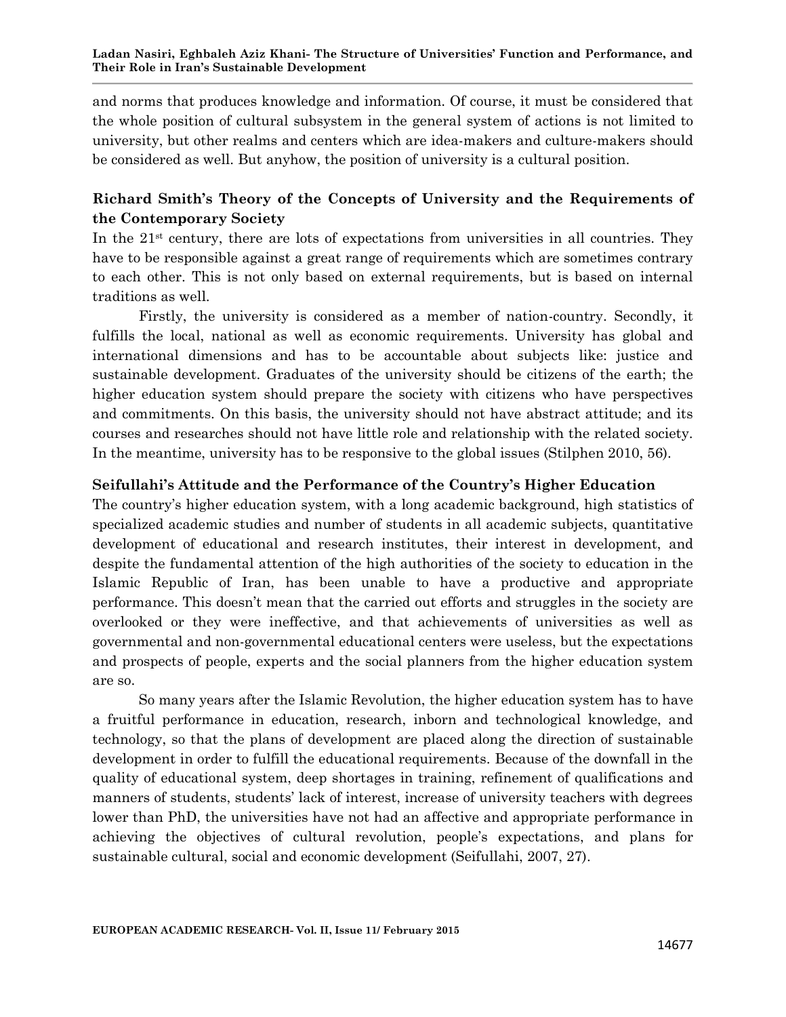and norms that produces knowledge and information. Of course, it must be considered that the whole position of cultural subsystem in the general system of actions is not limited to university, but other realms and centers which are idea-makers and culture-makers should be considered as well. But anyhow, the position of university is a cultural position.

# **Richard Smith's Theory of the Concepts of University and the Requirements of the Contemporary Society**

In the  $21<sup>st</sup>$  century, there are lots of expectations from universities in all countries. They have to be responsible against a great range of requirements which are sometimes contrary to each other. This is not only based on external requirements, but is based on internal traditions as well.

Firstly, the university is considered as a member of nation-country. Secondly, it fulfills the local, national as well as economic requirements. University has global and international dimensions and has to be accountable about subjects like: justice and sustainable development. Graduates of the university should be citizens of the earth; the higher education system should prepare the society with citizens who have perspectives and commitments. On this basis, the university should not have abstract attitude; and its courses and researches should not have little role and relationship with the related society. In the meantime, university has to be responsive to the global issues (Stilphen 2010, 56).

## **Seifullahi's Attitude and the Performance of the Country's Higher Education**

The country's higher education system, with a long academic background, high statistics of specialized academic studies and number of students in all academic subjects, quantitative development of educational and research institutes, their interest in development, and despite the fundamental attention of the high authorities of the society to education in the Islamic Republic of Iran, has been unable to have a productive and appropriate performance. This doesn't mean that the carried out efforts and struggles in the society are overlooked or they were ineffective, and that achievements of universities as well as governmental and non-governmental educational centers were useless, but the expectations and prospects of people, experts and the social planners from the higher education system are so.

So many years after the Islamic Revolution, the higher education system has to have a fruitful performance in education, research, inborn and technological knowledge, and technology, so that the plans of development are placed along the direction of sustainable development in order to fulfill the educational requirements. Because of the downfall in the quality of educational system, deep shortages in training, refinement of qualifications and manners of students, students' lack of interest, increase of university teachers with degrees lower than PhD, the universities have not had an affective and appropriate performance in achieving the objectives of cultural revolution, people's expectations, and plans for sustainable cultural, social and economic development (Seifullahi, 2007, 27).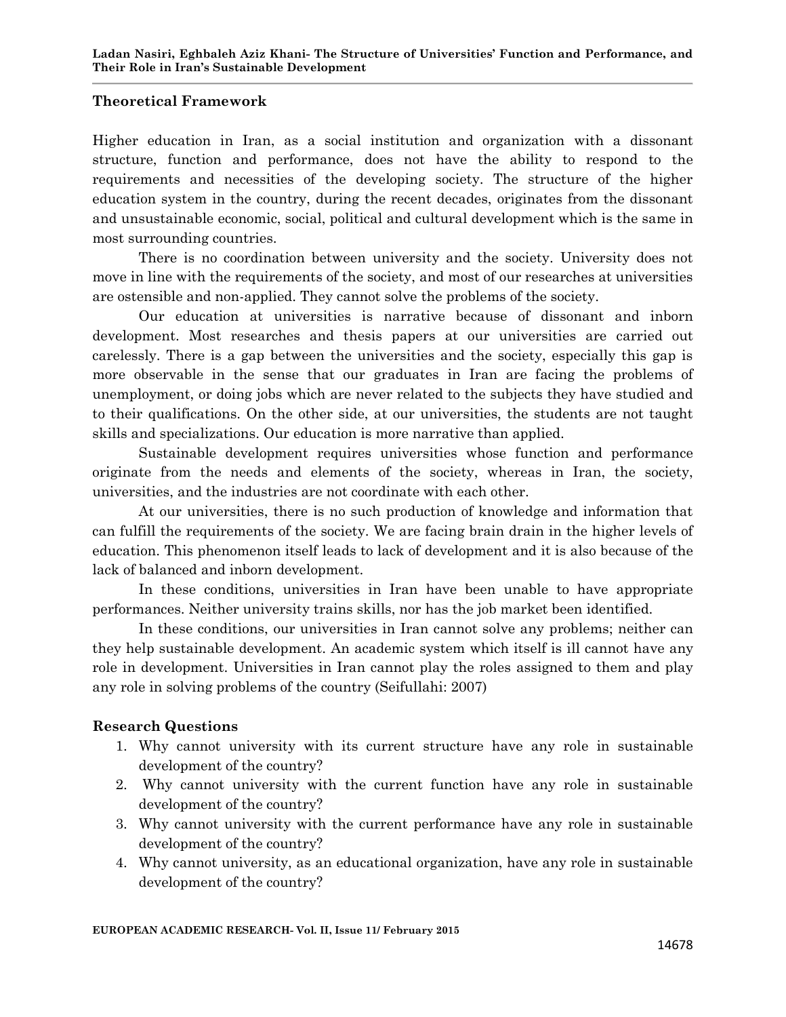## **Theoretical Framework**

Higher education in Iran, as a social institution and organization with a dissonant structure, function and performance, does not have the ability to respond to the requirements and necessities of the developing society. The structure of the higher education system in the country, during the recent decades, originates from the dissonant and unsustainable economic, social, political and cultural development which is the same in most surrounding countries.

There is no coordination between university and the society. University does not move in line with the requirements of the society, and most of our researches at universities are ostensible and non-applied. They cannot solve the problems of the society.

Our education at universities is narrative because of dissonant and inborn development. Most researches and thesis papers at our universities are carried out carelessly. There is a gap between the universities and the society, especially this gap is more observable in the sense that our graduates in Iran are facing the problems of unemployment, or doing jobs which are never related to the subjects they have studied and to their qualifications. On the other side, at our universities, the students are not taught skills and specializations. Our education is more narrative than applied.

Sustainable development requires universities whose function and performance originate from the needs and elements of the society, whereas in Iran, the society, universities, and the industries are not coordinate with each other.

At our universities, there is no such production of knowledge and information that can fulfill the requirements of the society. We are facing brain drain in the higher levels of education. This phenomenon itself leads to lack of development and it is also because of the lack of balanced and inborn development.

In these conditions, universities in Iran have been unable to have appropriate performances. Neither university trains skills, nor has the job market been identified.

In these conditions, our universities in Iran cannot solve any problems; neither can they help sustainable development. An academic system which itself is ill cannot have any role in development. Universities in Iran cannot play the roles assigned to them and play any role in solving problems of the country (Seifullahi: 2007)

## **Research Questions**

- 1. Why cannot university with its current structure have any role in sustainable development of the country?
- 2. Why cannot university with the current function have any role in sustainable development of the country?
- 3. Why cannot university with the current performance have any role in sustainable development of the country?
- 4. Why cannot university, as an educational organization, have any role in sustainable development of the country?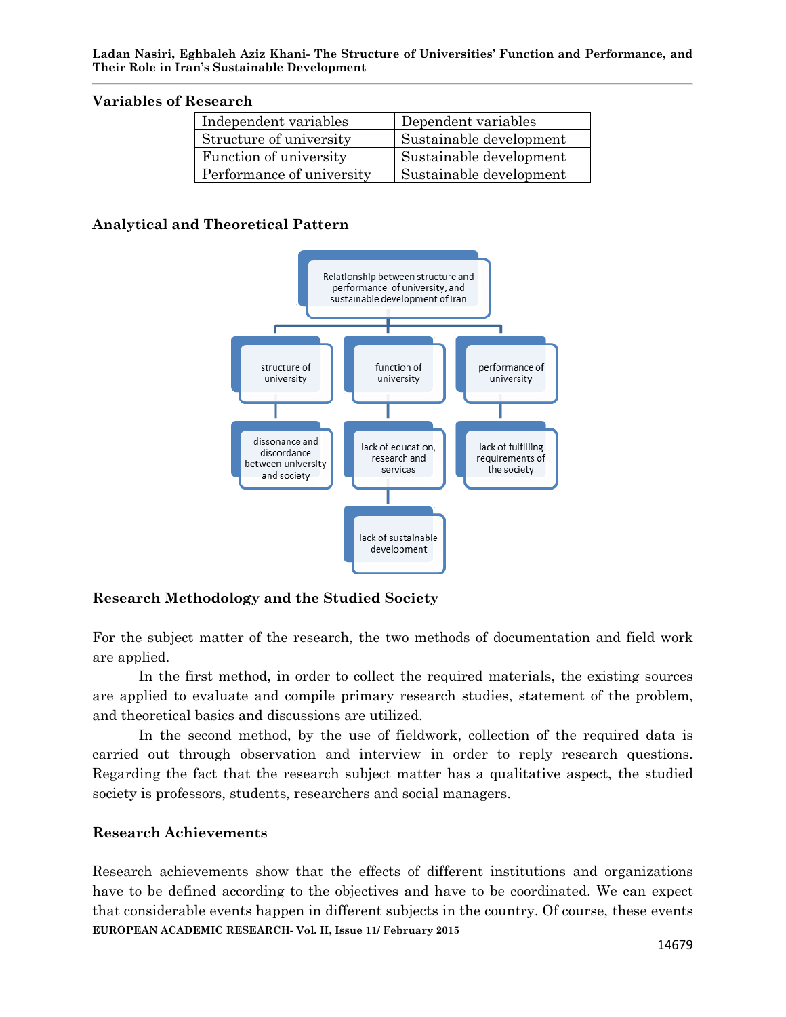#### **Variables of Research**

| Independent variables     | Dependent variables     |
|---------------------------|-------------------------|
| Structure of university   | Sustainable development |
| Function of university    | Sustainable development |
| Performance of university | Sustainable development |

## **Analytical and Theoretical Pattern**



# **Research Methodology and the Studied Society**

For the subject matter of the research, the two methods of documentation and field work are applied.

In the first method, in order to collect the required materials, the existing sources are applied to evaluate and compile primary research studies, statement of the problem, and theoretical basics and discussions are utilized.

In the second method, by the use of fieldwork, collection of the required data is carried out through observation and interview in order to reply research questions. Regarding the fact that the research subject matter has a qualitative aspect, the studied society is professors, students, researchers and social managers.

## **Research Achievements**

**EUROPEAN ACADEMIC RESEARCH- Vol. II, Issue 11/ February 2015** Research achievements show that the effects of different institutions and organizations have to be defined according to the objectives and have to be coordinated. We can expect that considerable events happen in different subjects in the country. Of course, these events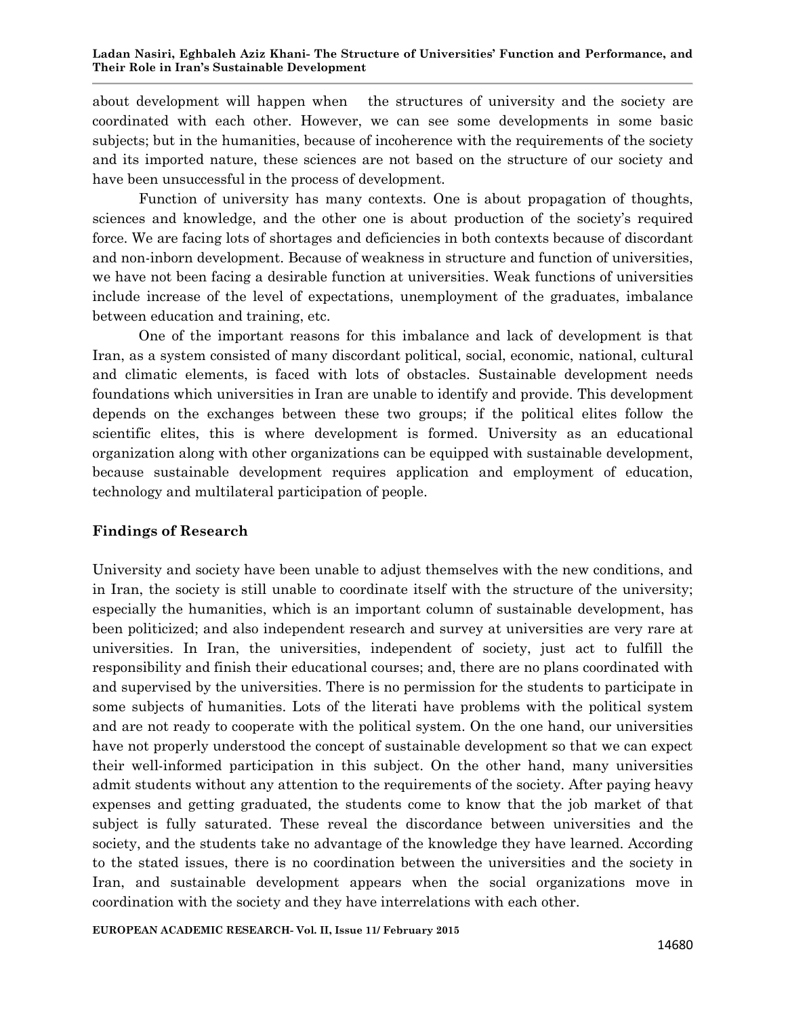about development will happen when the structures of university and the society are coordinated with each other. However, we can see some developments in some basic subjects; but in the humanities, because of incoherence with the requirements of the society and its imported nature, these sciences are not based on the structure of our society and have been unsuccessful in the process of development.

Function of university has many contexts. One is about propagation of thoughts, sciences and knowledge, and the other one is about production of the society's required force. We are facing lots of shortages and deficiencies in both contexts because of discordant and non-inborn development. Because of weakness in structure and function of universities, we have not been facing a desirable function at universities. Weak functions of universities include increase of the level of expectations, unemployment of the graduates, imbalance between education and training, etc.

One of the important reasons for this imbalance and lack of development is that Iran, as a system consisted of many discordant political, social, economic, national, cultural and climatic elements, is faced with lots of obstacles. Sustainable development needs foundations which universities in Iran are unable to identify and provide. This development depends on the exchanges between these two groups; if the political elites follow the scientific elites, this is where development is formed. University as an educational organization along with other organizations can be equipped with sustainable development, because sustainable development requires application and employment of education, technology and multilateral participation of people.

## **Findings of Research**

University and society have been unable to adjust themselves with the new conditions, and in Iran, the society is still unable to coordinate itself with the structure of the university; especially the humanities, which is an important column of sustainable development, has been politicized; and also independent research and survey at universities are very rare at universities. In Iran, the universities, independent of society, just act to fulfill the responsibility and finish their educational courses; and, there are no plans coordinated with and supervised by the universities. There is no permission for the students to participate in some subjects of humanities. Lots of the literati have problems with the political system and are not ready to cooperate with the political system. On the one hand, our universities have not properly understood the concept of sustainable development so that we can expect their well-informed participation in this subject. On the other hand, many universities admit students without any attention to the requirements of the society. After paying heavy expenses and getting graduated, the students come to know that the job market of that subject is fully saturated. These reveal the discordance between universities and the society, and the students take no advantage of the knowledge they have learned. According to the stated issues, there is no coordination between the universities and the society in Iran, and sustainable development appears when the social organizations move in coordination with the society and they have interrelations with each other.

**EUROPEAN ACADEMIC RESEARCH- Vol. II, Issue 11/ February 2015**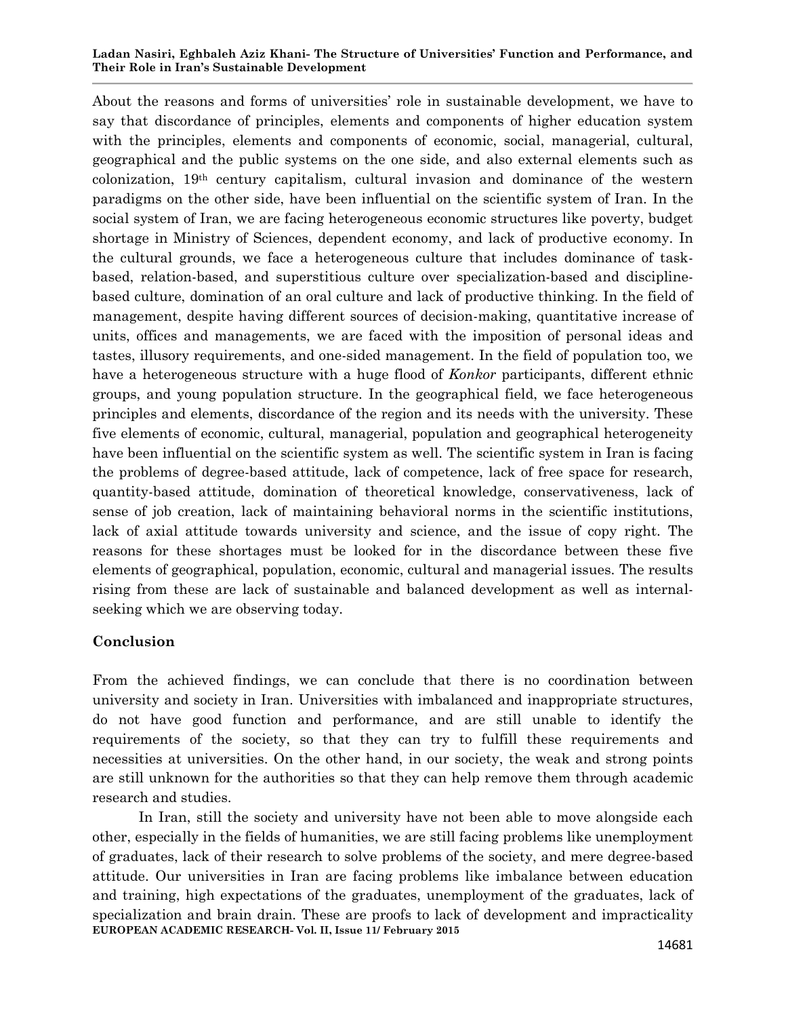#### **Ladan Nasiri, Eghbaleh Aziz Khani- The Structure of Universities' Function and Performance, and Their Role in Iran's Sustainable Development**

About the reasons and forms of universities' role in sustainable development, we have to say that discordance of principles, elements and components of higher education system with the principles, elements and components of economic, social, managerial, cultural, geographical and the public systems on the one side, and also external elements such as colonization, 19th century capitalism, cultural invasion and dominance of the western paradigms on the other side, have been influential on the scientific system of Iran. In the social system of Iran, we are facing heterogeneous economic structures like poverty, budget shortage in Ministry of Sciences, dependent economy, and lack of productive economy. In the cultural grounds, we face a heterogeneous culture that includes dominance of taskbased, relation-based, and superstitious culture over specialization-based and disciplinebased culture, domination of an oral culture and lack of productive thinking. In the field of management, despite having different sources of decision-making, quantitative increase of units, offices and managements, we are faced with the imposition of personal ideas and tastes, illusory requirements, and one-sided management. In the field of population too, we have a heterogeneous structure with a huge flood of *Konkor* participants, different ethnic groups, and young population structure. In the geographical field, we face heterogeneous principles and elements, discordance of the region and its needs with the university. These five elements of economic, cultural, managerial, population and geographical heterogeneity have been influential on the scientific system as well. The scientific system in Iran is facing the problems of degree-based attitude, lack of competence, lack of free space for research, quantity-based attitude, domination of theoretical knowledge, conservativeness, lack of sense of job creation, lack of maintaining behavioral norms in the scientific institutions, lack of axial attitude towards university and science, and the issue of copy right. The reasons for these shortages must be looked for in the discordance between these five elements of geographical, population, economic, cultural and managerial issues. The results rising from these are lack of sustainable and balanced development as well as internalseeking which we are observing today.

## **Conclusion**

From the achieved findings, we can conclude that there is no coordination between university and society in Iran. Universities with imbalanced and inappropriate structures, do not have good function and performance, and are still unable to identify the requirements of the society, so that they can try to fulfill these requirements and necessities at universities. On the other hand, in our society, the weak and strong points are still unknown for the authorities so that they can help remove them through academic research and studies.

**EUROPEAN ACADEMIC RESEARCH- Vol. II, Issue 11/ February 2015** In Iran, still the society and university have not been able to move alongside each other, especially in the fields of humanities, we are still facing problems like unemployment of graduates, lack of their research to solve problems of the society, and mere degree-based attitude. Our universities in Iran are facing problems like imbalance between education and training, high expectations of the graduates, unemployment of the graduates, lack of specialization and brain drain. These are proofs to lack of development and impracticality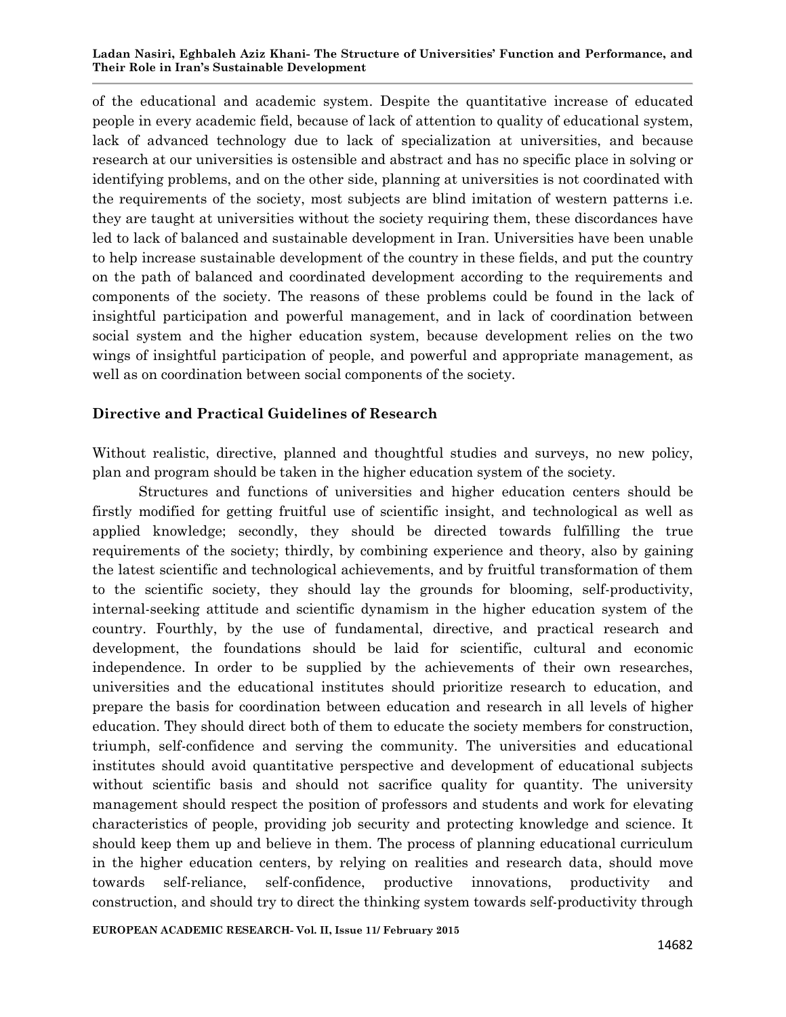of the educational and academic system. Despite the quantitative increase of educated people in every academic field, because of lack of attention to quality of educational system, lack of advanced technology due to lack of specialization at universities, and because research at our universities is ostensible and abstract and has no specific place in solving or identifying problems, and on the other side, planning at universities is not coordinated with the requirements of the society, most subjects are blind imitation of western patterns i.e. they are taught at universities without the society requiring them, these discordances have led to lack of balanced and sustainable development in Iran. Universities have been unable to help increase sustainable development of the country in these fields, and put the country on the path of balanced and coordinated development according to the requirements and components of the society. The reasons of these problems could be found in the lack of insightful participation and powerful management, and in lack of coordination between social system and the higher education system, because development relies on the two wings of insightful participation of people, and powerful and appropriate management, as well as on coordination between social components of the society.

## **Directive and Practical Guidelines of Research**

Without realistic, directive, planned and thoughtful studies and surveys, no new policy, plan and program should be taken in the higher education system of the society.

Structures and functions of universities and higher education centers should be firstly modified for getting fruitful use of scientific insight, and technological as well as applied knowledge; secondly, they should be directed towards fulfilling the true requirements of the society; thirdly, by combining experience and theory, also by gaining the latest scientific and technological achievements, and by fruitful transformation of them to the scientific society, they should lay the grounds for blooming, self-productivity, internal-seeking attitude and scientific dynamism in the higher education system of the country. Fourthly, by the use of fundamental, directive, and practical research and development, the foundations should be laid for scientific, cultural and economic independence. In order to be supplied by the achievements of their own researches, universities and the educational institutes should prioritize research to education, and prepare the basis for coordination between education and research in all levels of higher education. They should direct both of them to educate the society members for construction, triumph, self-confidence and serving the community. The universities and educational institutes should avoid quantitative perspective and development of educational subjects without scientific basis and should not sacrifice quality for quantity. The university management should respect the position of professors and students and work for elevating characteristics of people, providing job security and protecting knowledge and science. It should keep them up and believe in them. The process of planning educational curriculum in the higher education centers, by relying on realities and research data, should move towards self-reliance, self-confidence, productive innovations, productivity and construction, and should try to direct the thinking system towards self-productivity through